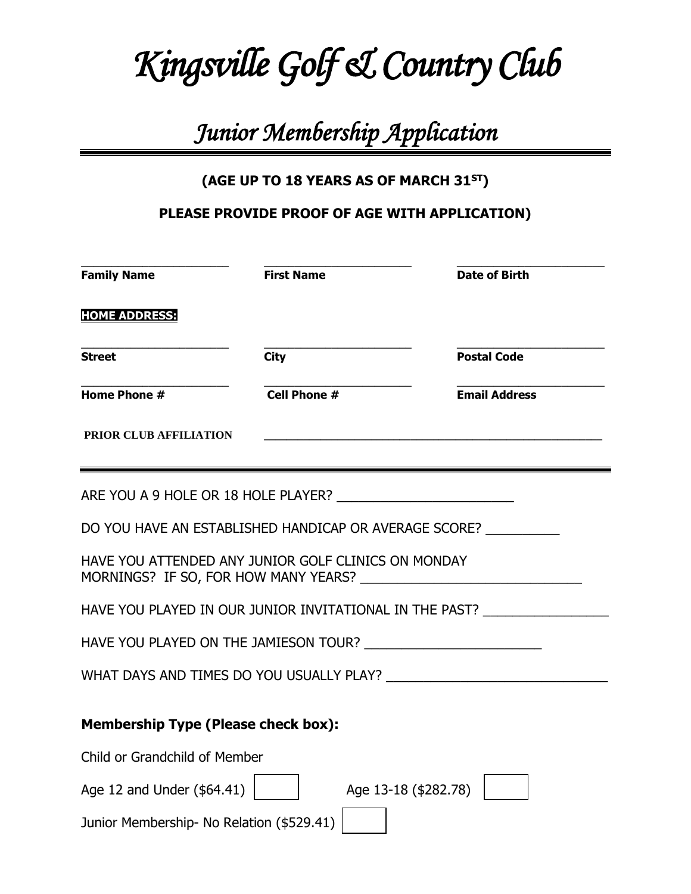# *Kingsville Golf & Country Club*

# *Junior Membership Application*

## **(AGE UP TO 18 YEARS AS OF MARCH 31ST)**

### **PLEASE PROVIDE PROOF OF AGE WITH APPLICATION)**

| <b>Family Name</b>                                     | <b>First Name</b>                                   | <b>Date of Birth</b>                                                             |
|--------------------------------------------------------|-----------------------------------------------------|----------------------------------------------------------------------------------|
| <b>HOME ADDRESS:</b>                                   |                                                     |                                                                                  |
| <b>Street</b>                                          | <b>City</b>                                         | <b>Postal Code</b>                                                               |
| Home Phone $#$                                         | <b>Cell Phone #</b>                                 | <b>Email Address</b>                                                             |
| PRIOR CLUB AFFILIATION                                 |                                                     |                                                                                  |
|                                                        |                                                     |                                                                                  |
|                                                        |                                                     | DO YOU HAVE AN ESTABLISHED HANDICAP OR AVERAGE SCORE?                            |
|                                                        | HAVE YOU ATTENDED ANY JUNIOR GOLF CLINICS ON MONDAY |                                                                                  |
|                                                        |                                                     | HAVE YOU PLAYED IN OUR JUNIOR INVITATIONAL IN THE PAST? ________________________ |
|                                                        |                                                     |                                                                                  |
|                                                        |                                                     |                                                                                  |
| <b>Membership Type (Please check box):</b>             |                                                     |                                                                                  |
| Child or Grandchild of Member                          |                                                     |                                                                                  |
| Age 12 and Under $(\$64.41)$  <br>Age 13-18 (\$282.78) |                                                     |                                                                                  |
| Junior Membership- No Relation (\$529.41)              |                                                     |                                                                                  |